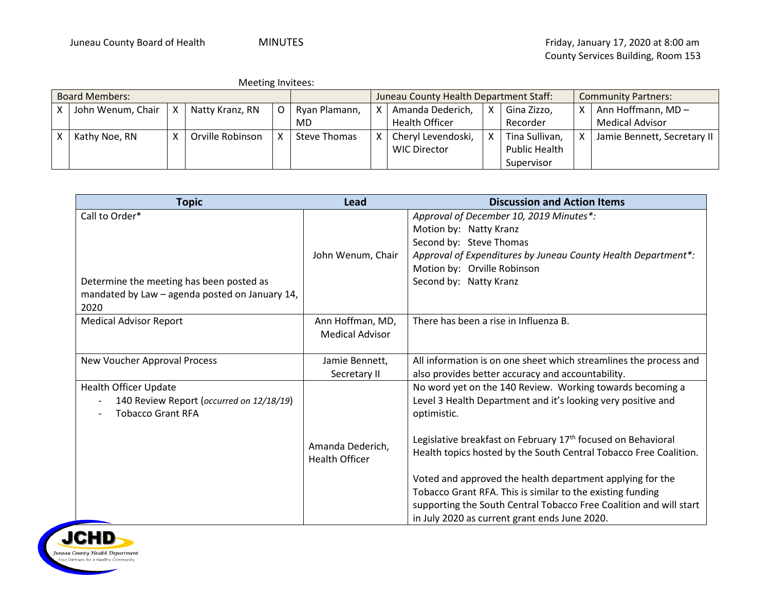| <b>Meeting Invitees:</b> |  |
|--------------------------|--|
|--------------------------|--|

| <b>Board Members:</b> |                   |                                    |                  |               | Juneau County Health Department Staff: |                  |                       | <b>Community Partners:</b> |                      |                   |                             |
|-----------------------|-------------------|------------------------------------|------------------|---------------|----------------------------------------|------------------|-----------------------|----------------------------|----------------------|-------------------|-----------------------------|
|                       | John Wenum, Chair | l X<br>Natty Kranz, RN<br>$\Omega$ |                  | Ryan Plamann, |                                        | Amanda Dederich, | x                     | Gina Zizzo,                |                      | Ann Hoffmann, MD- |                             |
|                       |                   |                                    |                  |               | MD                                     |                  | <b>Health Officer</b> |                            | Recorder             |                   | <b>Medical Advisor</b>      |
|                       | Kathy Noe, RN     | x                                  | Orville Robinson |               | Steve Thomas                           |                  | Cheryl Levendoski,    | x                          | Tina Sullivan,       |                   | Jamie Bennett, Secretary II |
|                       |                   |                                    |                  |               |                                        |                  | <b>WIC Director</b>   |                            | <b>Public Health</b> |                   |                             |
|                       |                   |                                    |                  |               |                                        |                  |                       |                            | Supervisor           |                   |                             |

| <b>Topic</b>                                                                                                         | Lead                                       | <b>Discussion and Action Items</b>                                                                                                                                                                                                                                                                                                                                                                                                                                                                                                          |
|----------------------------------------------------------------------------------------------------------------------|--------------------------------------------|---------------------------------------------------------------------------------------------------------------------------------------------------------------------------------------------------------------------------------------------------------------------------------------------------------------------------------------------------------------------------------------------------------------------------------------------------------------------------------------------------------------------------------------------|
| Call to Order*<br>Determine the meeting has been posted as<br>mandated by Law - agenda posted on January 14,<br>2020 | John Wenum, Chair                          | Approval of December 10, 2019 Minutes*:<br>Motion by: Natty Kranz<br>Second by: Steve Thomas<br>Approval of Expenditures by Juneau County Health Department*:<br>Motion by: Orville Robinson<br>Second by: Natty Kranz                                                                                                                                                                                                                                                                                                                      |
| <b>Medical Advisor Report</b>                                                                                        | Ann Hoffman, MD,<br><b>Medical Advisor</b> | There has been a rise in Influenza B.                                                                                                                                                                                                                                                                                                                                                                                                                                                                                                       |
| New Voucher Approval Process                                                                                         | Jamie Bennett,<br>Secretary II             | All information is on one sheet which streamlines the process and<br>also provides better accuracy and accountability.                                                                                                                                                                                                                                                                                                                                                                                                                      |
| <b>Health Officer Update</b><br>140 Review Report (occurred on 12/18/19)<br><b>Tobacco Grant RFA</b>                 | Amanda Dederich,<br><b>Health Officer</b>  | No word yet on the 140 Review. Working towards becoming a<br>Level 3 Health Department and it's looking very positive and<br>optimistic.<br>Legislative breakfast on February 17 <sup>th</sup> focused on Behavioral<br>Health topics hosted by the South Central Tobacco Free Coalition.<br>Voted and approved the health department applying for the<br>Tobacco Grant RFA. This is similar to the existing funding<br>supporting the South Central Tobacco Free Coalition and will start<br>in July 2020 as current grant ends June 2020. |

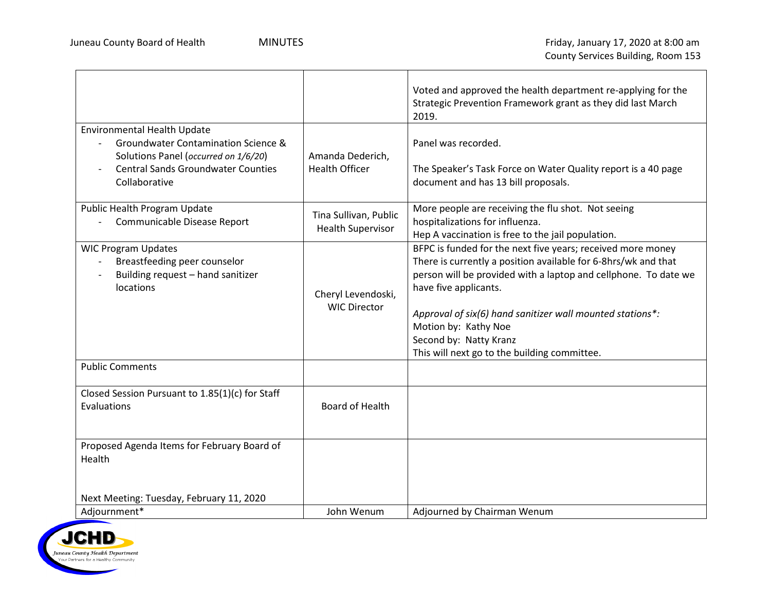|                                                                                                                                                                          |                                                   | Voted and approved the health department re-applying for the<br>Strategic Prevention Framework grant as they did last March<br>2019.                                                                                                                                                                                                                                                     |
|--------------------------------------------------------------------------------------------------------------------------------------------------------------------------|---------------------------------------------------|------------------------------------------------------------------------------------------------------------------------------------------------------------------------------------------------------------------------------------------------------------------------------------------------------------------------------------------------------------------------------------------|
| Environmental Health Update<br>Groundwater Contamination Science &<br>Solutions Panel (occurred on 1/6/20)<br><b>Central Sands Groundwater Counties</b><br>Collaborative | Amanda Dederich,<br><b>Health Officer</b>         | Panel was recorded.<br>The Speaker's Task Force on Water Quality report is a 40 page<br>document and has 13 bill proposals.                                                                                                                                                                                                                                                              |
| Public Health Program Update<br>Communicable Disease Report                                                                                                              | Tina Sullivan, Public<br><b>Health Supervisor</b> | More people are receiving the flu shot. Not seeing<br>hospitalizations for influenza.<br>Hep A vaccination is free to the jail population.                                                                                                                                                                                                                                               |
| <b>WIC Program Updates</b><br>Breastfeeding peer counselor<br>Building request - hand sanitizer<br>locations                                                             | Cheryl Levendoski,<br><b>WIC Director</b>         | BFPC is funded for the next five years; received more money<br>There is currently a position available for 6-8hrs/wk and that<br>person will be provided with a laptop and cellphone. To date we<br>have five applicants.<br>Approval of six(6) hand sanitizer wall mounted stations*:<br>Motion by: Kathy Noe<br>Second by: Natty Kranz<br>This will next go to the building committee. |
| <b>Public Comments</b>                                                                                                                                                   |                                                   |                                                                                                                                                                                                                                                                                                                                                                                          |
| Closed Session Pursuant to 1.85(1)(c) for Staff<br>Evaluations                                                                                                           | Board of Health                                   |                                                                                                                                                                                                                                                                                                                                                                                          |
| Proposed Agenda Items for February Board of<br>Health                                                                                                                    |                                                   |                                                                                                                                                                                                                                                                                                                                                                                          |
| Next Meeting: Tuesday, February 11, 2020                                                                                                                                 |                                                   |                                                                                                                                                                                                                                                                                                                                                                                          |
| Adjournment*                                                                                                                                                             | John Wenum                                        | Adjourned by Chairman Wenum                                                                                                                                                                                                                                                                                                                                                              |